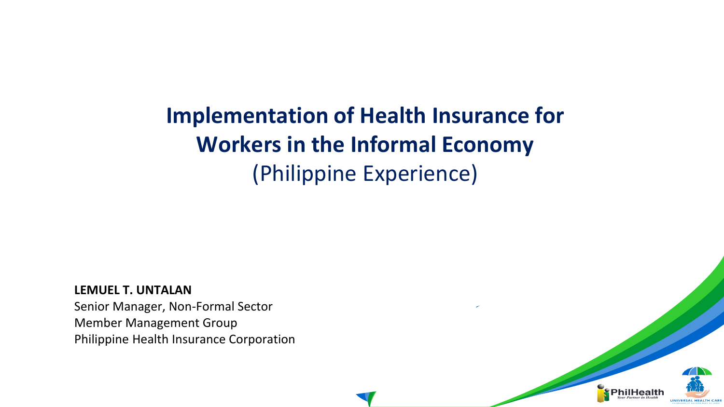# **Implementation of Health Insurance for Workers in the Informal Economy** (Philippine Experience)

**LEMUEL T. UNTALAN**

Senior Manager, Non-Formal Sector Member Management Group Philippine Health Insurance Corporation

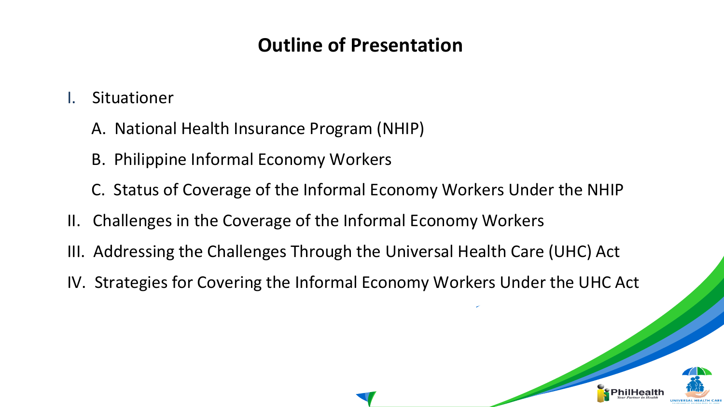### **Outline of Presentation**

- **Situationer** 
	- A. National Health Insurance Program (NHIP)
	- B. Philippine Informal Economy Workers
	- C. Status of Coverage of the Informal Economy Workers Under the NHIP
- II. Challenges in the Coverage of the Informal Economy Workers
- III. Addressing the Challenges Through the Universal Health Care (UHC) Act
- IV. Strategies for Covering the Informal Economy Workers Under the UHC Act

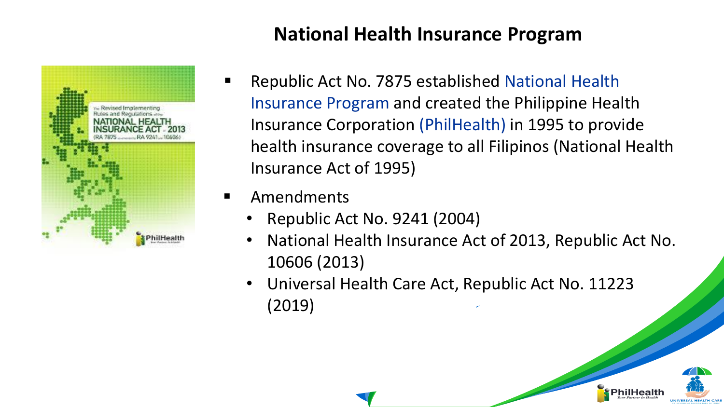### **National Health Insurance Program**



- Republic Act No. 7875 established National Health Insurance Program and created the Philippine Health Insurance Corporation (PhilHealth) in 1995 to provide health insurance coverage to all Filipinos (National Health Insurance Act of 1995)
- **Amendments** 
	- Republic Act No. 9241 (2004)
	- National Health Insurance Act of 2013, Republic Act No. 10606 (2013)
	- Universal Health Care Act, Republic Act No. 11223 (2019)

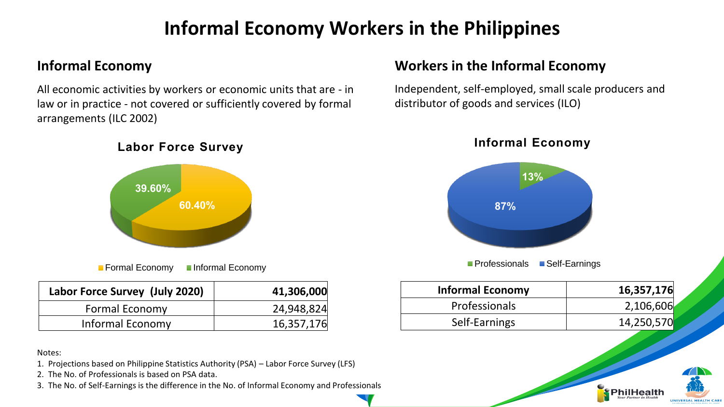### **Informal Economy Workers in the Philippines**

#### **Informal Economy**

All economic activities by workers or economic units that are - in law or in practice - not covered or sufficiently covered by formal arrangements (ILC 2002)

#### **Labor Force Survey**



■ Formal Economy Informal Economy

| Labor Force Survey (July 2020) | 41,306,000 |
|--------------------------------|------------|
| <b>Formal Economy</b>          | 24,948,824 |
| Informal Economy               | 16,357,176 |

#### Notes:

- 1. Projections based on Philippine Statistics Authority (PSA) Labor Force Survey (LFS)
- 2. The No. of Professionals is based on PSA data.
- 3. The No. of Self-Earnings is the difference in the No. of Informal Economy and Professionals

#### **Workers in the Informal Economy**

Independent, self-employed, small scale producers and distributor of goods and services (ILO)

**Informal Economy**



**Professionals Belf-Earnings** 

| <b>Informal Economy</b> | 16,357,176 |
|-------------------------|------------|
| <b>Professionals</b>    | 2,106,606  |
| Self-Earnings           | 14,250,570 |

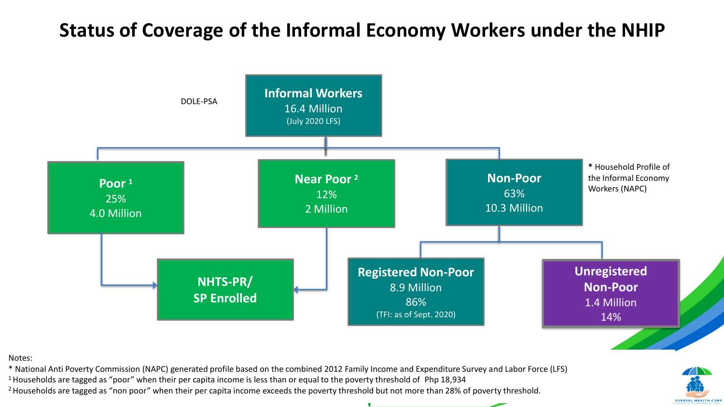### **Status of Coverage of the Informal Economy Workers under the NHIP**



Notes:

\* National Anti Poverty Commission (NAPC) generated profile based on the combined 2012 Family Income and Expenditure Survey and Labor Force (LFS)

<sup>1</sup> Households are tagged as "poor" when their per capita income is less than or equal to the poverty threshold of Php 18,934

<sup>2</sup> Households are tagged as "non poor" when their per capita income exceeds the poverty threshold but not more than 28% of poverty threshold.

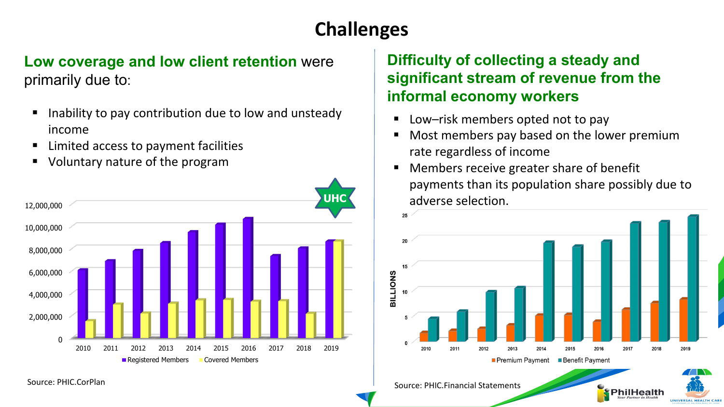## **Challenges**

#### **Low coverage and low client retention** were primarily due to:

- Inability to pay contribution due to low and unsteady income
- Limited access to payment facilities
- Voluntary nature of the program



#### **Difficulty of collecting a steady and significant stream of revenue from the informal economy workers**

Low–risk members opted not to pay

Source: PHIC.Financial Statements

- Most members pay based on the lower premium rate regardless of income
- Members receive greater share of benefit payments than its population share possibly due to adverse selection.



PhilHealth

UNIVERSAL HEALTH CAL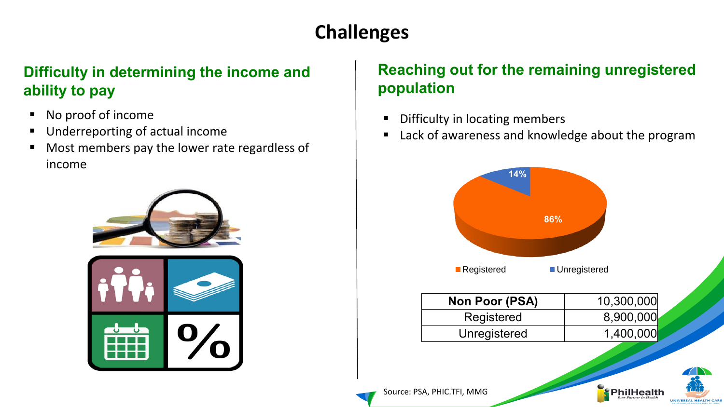## **Challenges**

### **Difficulty in determining the income and ability to pay**

- No proof of income
- Underreporting of actual income
- Most members pay the lower rate regardless of income



### **Reaching out for the remaining unregistered population**

- Difficulty in locating members
- Lack of awareness and knowledge about the program



PhilHealth

UNIVERSAL HEALTH CAR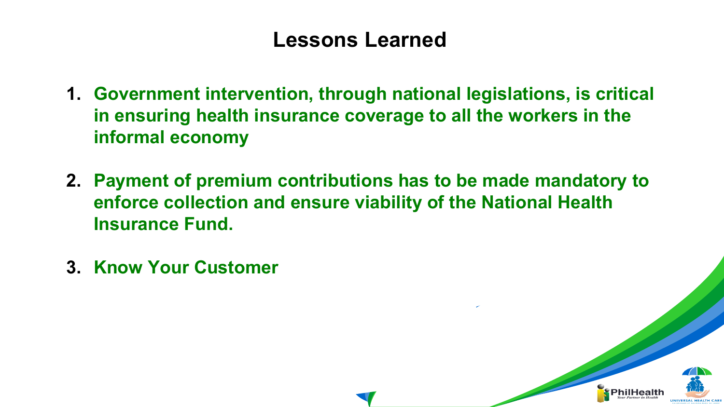### **Lessons Learned**

- **1. Government intervention, through national legislations, is critical in ensuring health insurance coverage to all the workers in the informal economy**
- **2. Payment of premium contributions has to be made mandatory to enforce collection and ensure viability of the National Health Insurance Fund.**
- **3. Know Your Customer**

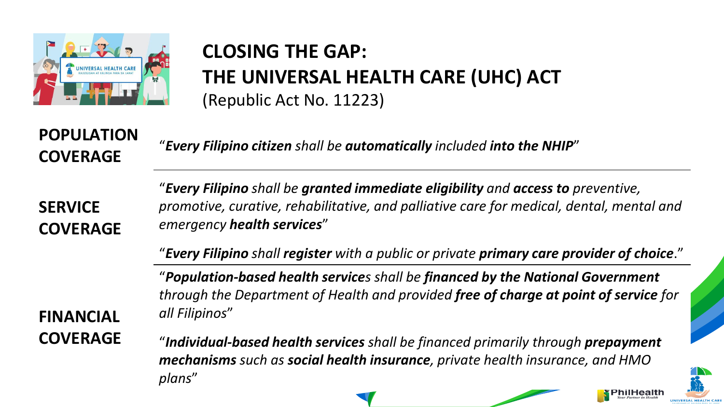

### **CLOSING THE GAP: THE UNIVERSAL HEALTH CARE (UHC) ACT** (Republic Act No. 11223)

**POPULATION COVERAGE**

"*Every Filipino citizen shall be automatically included into the NHIP*"

**SERVICE COVERAGE**

"*Every Filipino shall be granted immediate eligibility and access to preventive, promotive, curative, rehabilitative, and palliative care for medical, dental, mental and emergency health services*"

"*Every Filipino shall register with a public or private primary care provider of choice*."

"*Population-based health services shall be financed by the National Government through the Department of Health and provided free of charge at point of service for all Filipinos*"

**FINANCIAL COVERAGE**

"*Individual-based health services shall be financed primarily through prepayment mechanisms such as social health insurance, private health insurance, and HMO plans*"

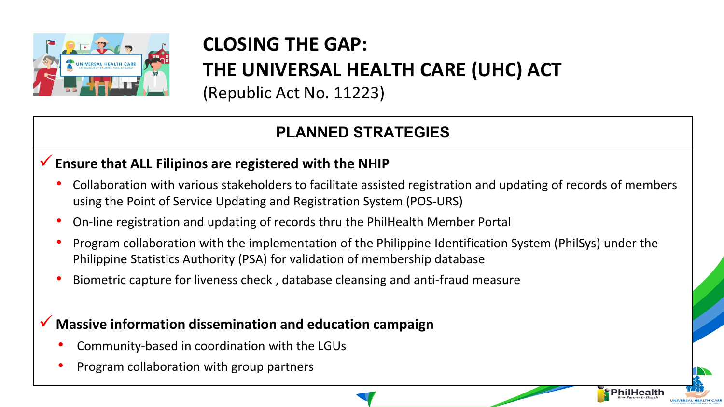

# **CLOSING THE GAP:**

**THE UNIVERSAL HEALTH CARE (UHC) ACT**

(Republic Act No. 11223)

### **PLANNED STRATEGIES**

#### ✓**Ensure that ALL Filipinos are registered with the NHIP**

- Collaboration with various stakeholders to facilitate assisted registration and updating of records of members using the Point of Service Updating and Registration System (POS-URS)
- On-line registration and updating of records thru the PhilHealth Member Portal
- Program collaboration with the implementation of the Philippine Identification System (PhilSys) under the Philippine Statistics Authority (PSA) for validation of membership database

PhilHealth

• Biometric capture for liveness check , database cleansing and anti-fraud measure

#### ✓ **Massive information dissemination and education campaign**

- Community-based in coordination with the LGUs
- Program collaboration with group partners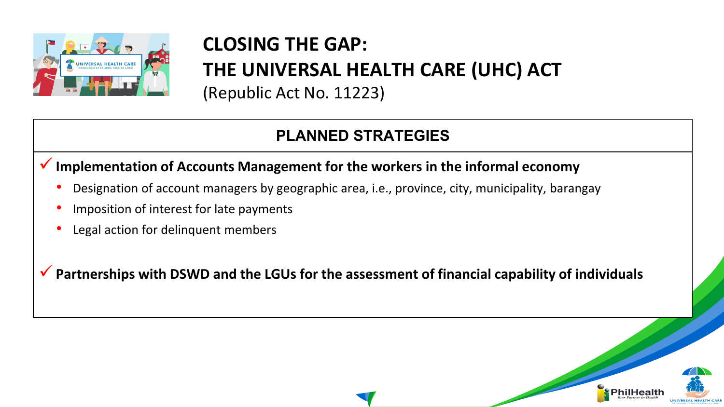

# **CLOSING THE GAP: THE UNIVERSAL HEALTH CARE (UHC) ACT**

(Republic Act No. 11223)

### **PLANNED STRATEGIES**

#### ✓**Implementation of Accounts Management for the workers in the informal economy**

- Designation of account managers by geographic area, i.e., province, city, municipality, barangay
- Imposition of interest for late payments
- Legal action for delinquent members

✓**Partnerships with DSWD and the LGUs for the assessment of financial capability of individuals**

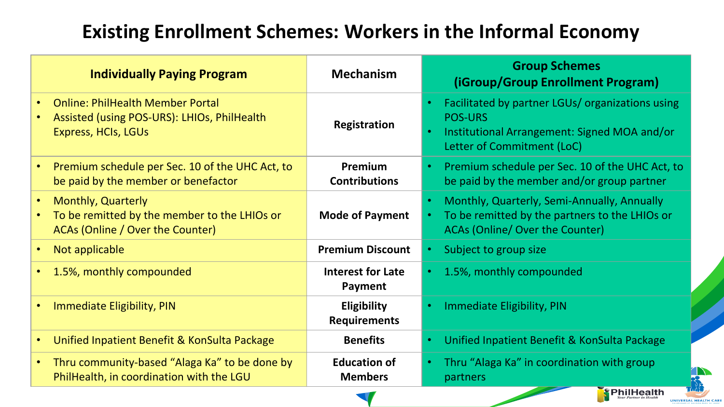### **Existing Enrollment Schemes: Workers in the Informal Economy**

| <b>Individually Paying Program</b>                                                                                   | <b>Mechanism</b>                          | <b>Group Schemes</b><br>(iGroup/Group Enrollment Program)                                                                                        |
|----------------------------------------------------------------------------------------------------------------------|-------------------------------------------|--------------------------------------------------------------------------------------------------------------------------------------------------|
| <b>Online: PhilHealth Member Portal</b><br>Assisted (using POS-URS): LHIOs, PhilHealth<br><b>Express, HCIs, LGUs</b> | <b>Registration</b>                       | Facilitated by partner LGUs/ organizations using<br><b>POS-URS</b><br>Institutional Arrangement: Signed MOA and/or<br>Letter of Commitment (LoC) |
| Premium schedule per Sec. 10 of the UHC Act, to<br>be paid by the member or benefactor                               | Premium<br><b>Contributions</b>           | Premium schedule per Sec. 10 of the UHC Act, to<br>be paid by the member and/or group partner                                                    |
| <b>Monthly, Quarterly</b><br>To be remitted by the member to the LHIOs or<br>ACAs (Online / Over the Counter)        | <b>Mode of Payment</b>                    | Monthly, Quarterly, Semi-Annually, Annually<br>To be remitted by the partners to the LHIOs or<br><b>ACAs (Online/ Over the Counter)</b>          |
| Not applicable                                                                                                       | <b>Premium Discount</b>                   | Subject to group size                                                                                                                            |
| 1.5%, monthly compounded                                                                                             | Interest for Late<br>Payment              | 1.5%, monthly compounded                                                                                                                         |
| Immediate Eligibility, PIN                                                                                           | <b>Eligibility</b><br><b>Requirements</b> | Immediate Eligibility, PIN                                                                                                                       |
| Unified Inpatient Benefit & KonSulta Package                                                                         | <b>Benefits</b>                           | Unified Inpatient Benefit & KonSulta Package                                                                                                     |
| Thru community-based "Alaga Ka" to be done by<br>$\bullet$<br>PhilHealth, in coordination with the LGU               | <b>Education of</b><br><b>Members</b>     | Thru "Alaga Ka" in coordination with group<br>partners                                                                                           |

nilHealth

UNIVERSAL HEALTH CAR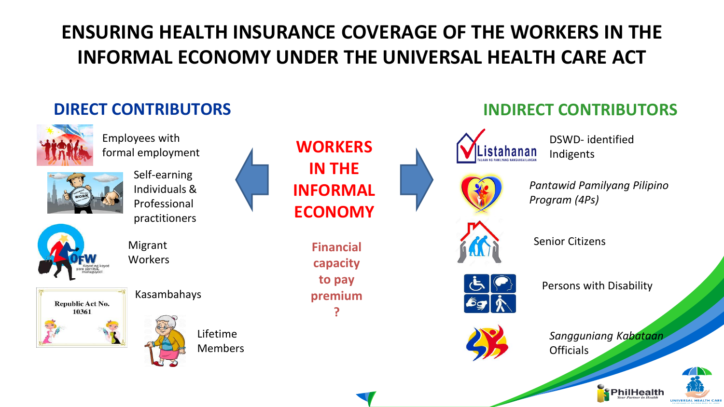## **ENSURING HEALTH INSURANCE COVERAGE OF THE WORKERS IN THE INFORMAL ECONOMY UNDER THE UNIVERSAL HEALTH CARE ACT**



UNIVERSAL HEALTH CAR